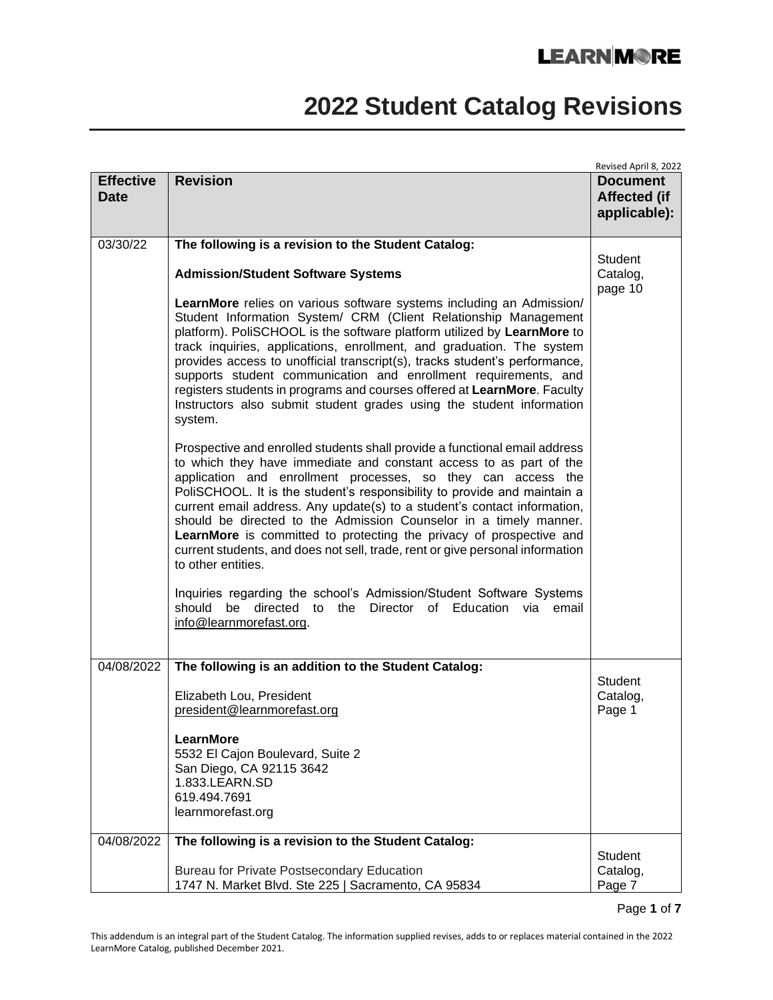# **2022 Student Catalog Revisions**

|                                 |                                                                                                                                                                                                                                                                                                                                                                                                                                                                                                                                                                                                                             | Revised April 8, 2022                                  |
|---------------------------------|-----------------------------------------------------------------------------------------------------------------------------------------------------------------------------------------------------------------------------------------------------------------------------------------------------------------------------------------------------------------------------------------------------------------------------------------------------------------------------------------------------------------------------------------------------------------------------------------------------------------------------|--------------------------------------------------------|
| <b>Effective</b><br><b>Date</b> | <b>Revision</b>                                                                                                                                                                                                                                                                                                                                                                                                                                                                                                                                                                                                             | <b>Document</b><br><b>Affected (if</b><br>applicable): |
| 03/30/22                        | The following is a revision to the Student Catalog:                                                                                                                                                                                                                                                                                                                                                                                                                                                                                                                                                                         |                                                        |
|                                 | <b>Admission/Student Software Systems</b>                                                                                                                                                                                                                                                                                                                                                                                                                                                                                                                                                                                   | Student<br>Catalog,<br>page 10                         |
|                                 | <b>LearnMore</b> relies on various software systems including an Admission/<br>Student Information System/ CRM (Client Relationship Management<br>platform). PoliSCHOOL is the software platform utilized by LearnMore to<br>track inquiries, applications, enrollment, and graduation. The system<br>provides access to unofficial transcript(s), tracks student's performance,<br>supports student communication and enrollment requirements, and<br>registers students in programs and courses offered at LearnMore. Faculty<br>Instructors also submit student grades using the student information<br>system.          |                                                        |
|                                 | Prospective and enrolled students shall provide a functional email address<br>to which they have immediate and constant access to as part of the<br>application and enrollment processes, so they can access the<br>PoliSCHOOL. It is the student's responsibility to provide and maintain a<br>current email address. Any update(s) to a student's contact information,<br>should be directed to the Admission Counselor in a timely manner.<br>LearnMore is committed to protecting the privacy of prospective and<br>current students, and does not sell, trade, rent or give personal information<br>to other entities. |                                                        |
|                                 | Inquiries regarding the school's Admission/Student Software Systems<br>directed to the Director of Education via email<br>should be<br>info@learnmorefast.org.                                                                                                                                                                                                                                                                                                                                                                                                                                                              |                                                        |
| 04/08/2022                      | The following is an addition to the Student Catalog:                                                                                                                                                                                                                                                                                                                                                                                                                                                                                                                                                                        |                                                        |
|                                 | Elizabeth Lou, President<br>president@learnmorefast.org                                                                                                                                                                                                                                                                                                                                                                                                                                                                                                                                                                     | Student<br>Catalog,<br>Page 1                          |
|                                 | LearnMore                                                                                                                                                                                                                                                                                                                                                                                                                                                                                                                                                                                                                   |                                                        |
|                                 | 5532 El Cajon Boulevard, Suite 2<br>San Diego, CA 92115 3642                                                                                                                                                                                                                                                                                                                                                                                                                                                                                                                                                                |                                                        |
|                                 | 1.833.LEARN.SD                                                                                                                                                                                                                                                                                                                                                                                                                                                                                                                                                                                                              |                                                        |
|                                 | 619.494.7691<br>learnmorefast.org                                                                                                                                                                                                                                                                                                                                                                                                                                                                                                                                                                                           |                                                        |
| 04/08/2022                      | The following is a revision to the Student Catalog:                                                                                                                                                                                                                                                                                                                                                                                                                                                                                                                                                                         |                                                        |
|                                 |                                                                                                                                                                                                                                                                                                                                                                                                                                                                                                                                                                                                                             | Student                                                |
|                                 | <b>Bureau for Private Postsecondary Education</b><br>1747 N. Market Blvd. Ste 225   Sacramento, CA 95834                                                                                                                                                                                                                                                                                                                                                                                                                                                                                                                    | Catalog,<br>Page 7                                     |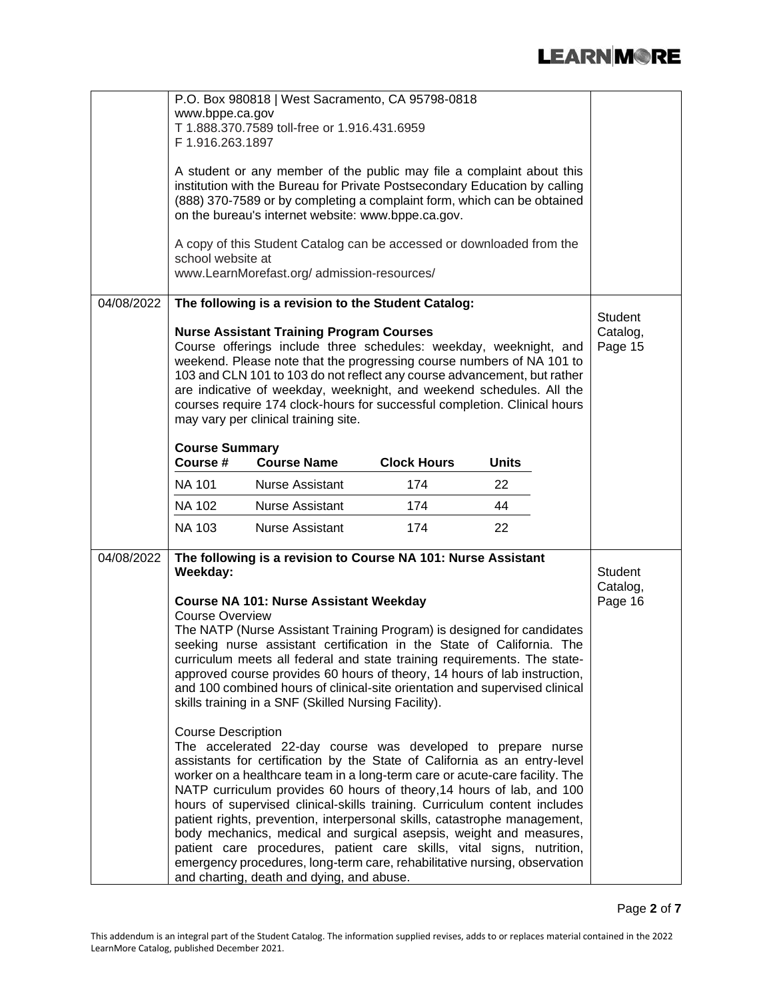|            | P.O. Box 980818   West Sacramento, CA 95798-0818<br>www.bppe.ca.gov<br>T 1.888.370.7589 toll-free or 1.916.431.6959<br>F 1.916.263.1897<br>A student or any member of the public may file a complaint about this<br>institution with the Bureau for Private Postsecondary Education by calling<br>(888) 370-7589 or by completing a complaint form, which can be obtained<br>on the bureau's internet website: www.bppe.ca.gov.<br>A copy of this Student Catalog can be accessed or downloaded from the<br>school website at<br>www.LearnMorefast.org/admission-resources/ |                                                                                                                                                                                                                                                                                                                                                                                                                                                                                                                                                                                                                                                                                                                                                                                                                                                                                                                                                     |                    |              |                                |  |  |  |
|------------|-----------------------------------------------------------------------------------------------------------------------------------------------------------------------------------------------------------------------------------------------------------------------------------------------------------------------------------------------------------------------------------------------------------------------------------------------------------------------------------------------------------------------------------------------------------------------------|-----------------------------------------------------------------------------------------------------------------------------------------------------------------------------------------------------------------------------------------------------------------------------------------------------------------------------------------------------------------------------------------------------------------------------------------------------------------------------------------------------------------------------------------------------------------------------------------------------------------------------------------------------------------------------------------------------------------------------------------------------------------------------------------------------------------------------------------------------------------------------------------------------------------------------------------------------|--------------------|--------------|--------------------------------|--|--|--|
| 04/08/2022 | The following is a revision to the Student Catalog:<br><b>Nurse Assistant Training Program Courses</b><br>Course offerings include three schedules: weekday, weeknight, and<br>weekend. Please note that the progressing course numbers of NA 101 to<br>103 and CLN 101 to 103 do not reflect any course advancement, but rather<br>are indicative of weekday, weeknight, and weekend schedules. All the<br>courses require 174 clock-hours for successful completion. Clinical hours<br>may vary per clinical training site.                                               | <b>Student</b><br>Catalog,<br>Page 15                                                                                                                                                                                                                                                                                                                                                                                                                                                                                                                                                                                                                                                                                                                                                                                                                                                                                                               |                    |              |                                |  |  |  |
|            | <b>Course Summary</b><br>Course #                                                                                                                                                                                                                                                                                                                                                                                                                                                                                                                                           | <b>Course Name</b>                                                                                                                                                                                                                                                                                                                                                                                                                                                                                                                                                                                                                                                                                                                                                                                                                                                                                                                                  | <b>Clock Hours</b> | <b>Units</b> |                                |  |  |  |
|            | <b>NA 101</b>                                                                                                                                                                                                                                                                                                                                                                                                                                                                                                                                                               | <b>Nurse Assistant</b>                                                                                                                                                                                                                                                                                                                                                                                                                                                                                                                                                                                                                                                                                                                                                                                                                                                                                                                              | 174                | 22           |                                |  |  |  |
|            | <b>NA 102</b>                                                                                                                                                                                                                                                                                                                                                                                                                                                                                                                                                               | <b>Nurse Assistant</b>                                                                                                                                                                                                                                                                                                                                                                                                                                                                                                                                                                                                                                                                                                                                                                                                                                                                                                                              | 174                | 44           |                                |  |  |  |
|            | <b>NA 103</b>                                                                                                                                                                                                                                                                                                                                                                                                                                                                                                                                                               | <b>Nurse Assistant</b>                                                                                                                                                                                                                                                                                                                                                                                                                                                                                                                                                                                                                                                                                                                                                                                                                                                                                                                              | 174                | 22           |                                |  |  |  |
| 04/08/2022 | Weekday:<br><b>Course Overview</b><br><b>Course Description</b>                                                                                                                                                                                                                                                                                                                                                                                                                                                                                                             | The following is a revision to Course NA 101: Nurse Assistant<br><b>Course NA 101: Nurse Assistant Weekday</b><br>The NATP (Nurse Assistant Training Program) is designed for candidates<br>seeking nurse assistant certification in the State of California. The<br>curriculum meets all federal and state training requirements. The state-<br>approved course provides 60 hours of theory, 14 hours of lab instruction,<br>and 100 combined hours of clinical-site orientation and supervised clinical<br>skills training in a SNF (Skilled Nursing Facility).<br>The accelerated 22-day course was developed to prepare nurse<br>assistants for certification by the State of California as an entry-level<br>worker on a healthcare team in a long-term care or acute-care facility. The<br>NATP curriculum provides 60 hours of theory, 14 hours of lab, and 100<br>hours of supervised clinical-skills training. Curriculum content includes |                    |              | Student<br>Catalog,<br>Page 16 |  |  |  |
|            | patient rights, prevention, interpersonal skills, catastrophe management,<br>body mechanics, medical and surgical asepsis, weight and measures,<br>patient care procedures, patient care skills, vital signs, nutrition,<br>emergency procedures, long-term care, rehabilitative nursing, observation<br>and charting, death and dying, and abuse.                                                                                                                                                                                                                          |                                                                                                                                                                                                                                                                                                                                                                                                                                                                                                                                                                                                                                                                                                                                                                                                                                                                                                                                                     |                    |              |                                |  |  |  |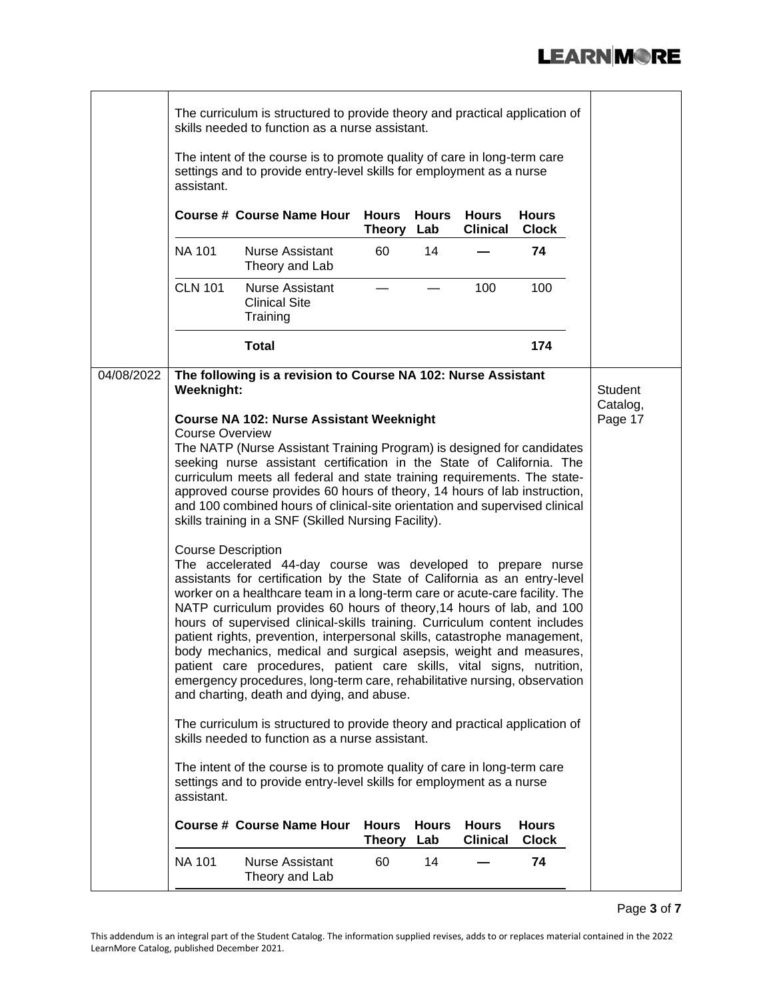|            | assistant.                                                        | The curriculum is structured to provide theory and practical application of<br>skills needed to function as a nurse assistant.<br>The intent of the course is to promote quality of care in long-term care<br>settings and to provide entry-level skills for employment as a nurse                                                                                                                                                                                                                                                                                                                                                                                                                                                                                                                                                                                                                                                                                                                                                                                                                                                                                                                                                                                                                                                                                                                                                                                                                                               |                               |                     |                                 |                              |                     |
|------------|-------------------------------------------------------------------|----------------------------------------------------------------------------------------------------------------------------------------------------------------------------------------------------------------------------------------------------------------------------------------------------------------------------------------------------------------------------------------------------------------------------------------------------------------------------------------------------------------------------------------------------------------------------------------------------------------------------------------------------------------------------------------------------------------------------------------------------------------------------------------------------------------------------------------------------------------------------------------------------------------------------------------------------------------------------------------------------------------------------------------------------------------------------------------------------------------------------------------------------------------------------------------------------------------------------------------------------------------------------------------------------------------------------------------------------------------------------------------------------------------------------------------------------------------------------------------------------------------------------------|-------------------------------|---------------------|---------------------------------|------------------------------|---------------------|
|            |                                                                   | <b>Course # Course Name Hour</b>                                                                                                                                                                                                                                                                                                                                                                                                                                                                                                                                                                                                                                                                                                                                                                                                                                                                                                                                                                                                                                                                                                                                                                                                                                                                                                                                                                                                                                                                                                 | <b>Hours</b><br>Theory Lab    | Hours               | Hours<br><b>Clinical</b>        | <b>Hours</b><br><b>Clock</b> |                     |
|            | <b>NA 101</b>                                                     | <b>Nurse Assistant</b><br>Theory and Lab                                                                                                                                                                                                                                                                                                                                                                                                                                                                                                                                                                                                                                                                                                                                                                                                                                                                                                                                                                                                                                                                                                                                                                                                                                                                                                                                                                                                                                                                                         | 60                            | 14                  |                                 | 74                           |                     |
|            | <b>CLN 101</b>                                                    | <b>Nurse Assistant</b><br><b>Clinical Site</b><br>Training                                                                                                                                                                                                                                                                                                                                                                                                                                                                                                                                                                                                                                                                                                                                                                                                                                                                                                                                                                                                                                                                                                                                                                                                                                                                                                                                                                                                                                                                       |                               |                     | 100                             | 100                          |                     |
|            |                                                                   | <b>Total</b>                                                                                                                                                                                                                                                                                                                                                                                                                                                                                                                                                                                                                                                                                                                                                                                                                                                                                                                                                                                                                                                                                                                                                                                                                                                                                                                                                                                                                                                                                                                     |                               |                     |                                 | 174                          |                     |
| 04/08/2022 | Weeknight:                                                        | The following is a revision to Course NA 102: Nurse Assistant                                                                                                                                                                                                                                                                                                                                                                                                                                                                                                                                                                                                                                                                                                                                                                                                                                                                                                                                                                                                                                                                                                                                                                                                                                                                                                                                                                                                                                                                    |                               |                     |                                 |                              | Student<br>Catalog, |
|            | <b>Course Overview</b><br><b>Course Description</b><br>assistant. | <b>Course NA 102: Nurse Assistant Weeknight</b><br>The NATP (Nurse Assistant Training Program) is designed for candidates<br>seeking nurse assistant certification in the State of California. The<br>curriculum meets all federal and state training requirements. The state-<br>approved course provides 60 hours of theory, 14 hours of lab instruction,<br>and 100 combined hours of clinical-site orientation and supervised clinical<br>skills training in a SNF (Skilled Nursing Facility).<br>The accelerated 44-day course was developed to prepare nurse<br>assistants for certification by the State of California as an entry-level<br>worker on a healthcare team in a long-term care or acute-care facility. The<br>NATP curriculum provides 60 hours of theory, 14 hours of lab, and 100<br>hours of supervised clinical-skills training. Curriculum content includes<br>patient rights, prevention, interpersonal skills, catastrophe management,<br>body mechanics, medical and surgical asepsis, weight and measures,<br>patient care procedures, patient care skills, vital signs, nutrition,<br>emergency procedures, long-term care, rehabilitative nursing, observation<br>and charting, death and dying, and abuse.<br>The curriculum is structured to provide theory and practical application of<br>skills needed to function as a nurse assistant.<br>The intent of the course is to promote quality of care in long-term care<br>settings and to provide entry-level skills for employment as a nurse |                               |                     |                                 |                              | Page 17             |
|            |                                                                   | <b>Course # Course Name Hour</b>                                                                                                                                                                                                                                                                                                                                                                                                                                                                                                                                                                                                                                                                                                                                                                                                                                                                                                                                                                                                                                                                                                                                                                                                                                                                                                                                                                                                                                                                                                 | <b>Hours</b><br><b>Theory</b> | <b>Hours</b><br>Lab | <b>Hours</b><br><b>Clinical</b> | <b>Hours</b><br><b>Clock</b> |                     |
|            | <b>NA 101</b>                                                     | <b>Nurse Assistant</b><br>Theory and Lab                                                                                                                                                                                                                                                                                                                                                                                                                                                                                                                                                                                                                                                                                                                                                                                                                                                                                                                                                                                                                                                                                                                                                                                                                                                                                                                                                                                                                                                                                         | 60                            | 14                  |                                 | 74                           |                     |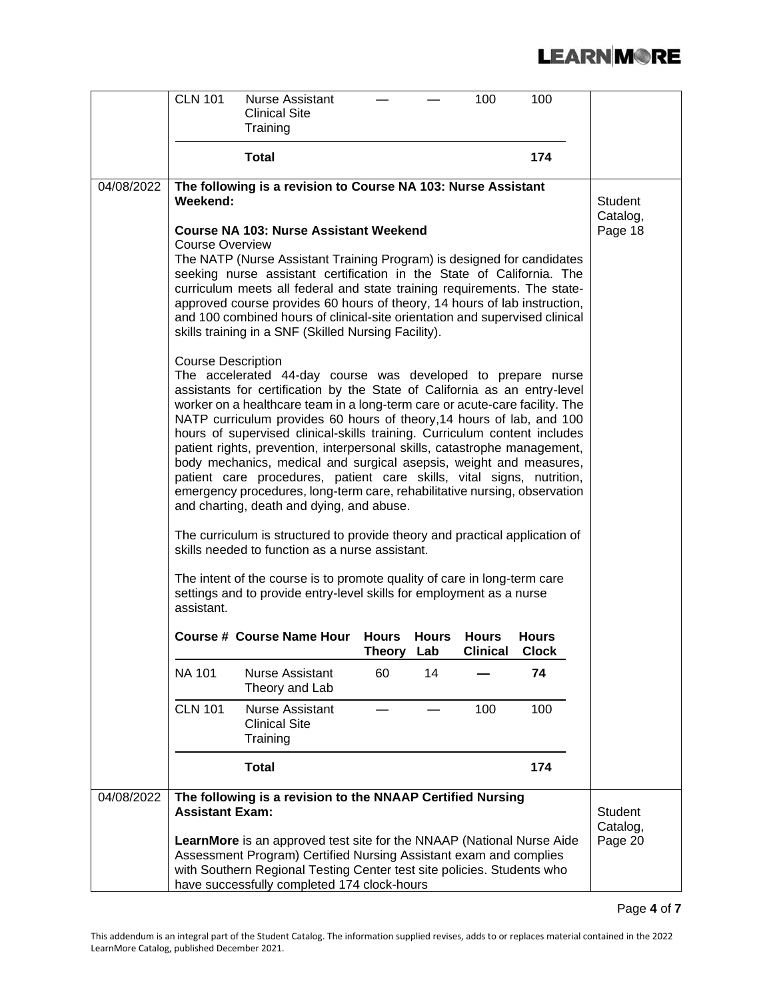|            | <b>CLN 101</b>                          | <b>Nurse Assistant</b><br><b>Clinical Site</b>                                                                                                                                                                                                                                                                                                                                                                                                                                                                                                                                                                                                                                                                                                                                                                                                                                                                                                                                                                                                                                                                                                                    |                               |                     | 100                             | 100                          |                                       |
|------------|-----------------------------------------|-------------------------------------------------------------------------------------------------------------------------------------------------------------------------------------------------------------------------------------------------------------------------------------------------------------------------------------------------------------------------------------------------------------------------------------------------------------------------------------------------------------------------------------------------------------------------------------------------------------------------------------------------------------------------------------------------------------------------------------------------------------------------------------------------------------------------------------------------------------------------------------------------------------------------------------------------------------------------------------------------------------------------------------------------------------------------------------------------------------------------------------------------------------------|-------------------------------|---------------------|---------------------------------|------------------------------|---------------------------------------|
|            |                                         | Training                                                                                                                                                                                                                                                                                                                                                                                                                                                                                                                                                                                                                                                                                                                                                                                                                                                                                                                                                                                                                                                                                                                                                          |                               |                     |                                 |                              |                                       |
|            |                                         | <b>Total</b>                                                                                                                                                                                                                                                                                                                                                                                                                                                                                                                                                                                                                                                                                                                                                                                                                                                                                                                                                                                                                                                                                                                                                      |                               |                     |                                 | 174                          |                                       |
| 04/08/2022 | Weekend:<br>Course Overview             | The following is a revision to Course NA 103: Nurse Assistant<br><b>Course NA 103: Nurse Assistant Weekend</b><br>The NATP (Nurse Assistant Training Program) is designed for candidates<br>seeking nurse assistant certification in the State of California. The<br>curriculum meets all federal and state training requirements. The state-<br>approved course provides 60 hours of theory, 14 hours of lab instruction,                                                                                                                                                                                                                                                                                                                                                                                                                                                                                                                                                                                                                                                                                                                                        |                               |                     |                                 |                              | Student<br>Catalog,<br>Page 18        |
|            | <b>Course Description</b><br>assistant. | and 100 combined hours of clinical-site orientation and supervised clinical<br>skills training in a SNF (Skilled Nursing Facility).<br>The accelerated 44-day course was developed to prepare nurse<br>assistants for certification by the State of California as an entry-level<br>worker on a healthcare team in a long-term care or acute-care facility. The<br>NATP curriculum provides 60 hours of theory, 14 hours of lab, and 100<br>hours of supervised clinical-skills training. Curriculum content includes<br>patient rights, prevention, interpersonal skills, catastrophe management,<br>body mechanics, medical and surgical asepsis, weight and measures,<br>patient care procedures, patient care skills, vital signs, nutrition,<br>emergency procedures, long-term care, rehabilitative nursing, observation<br>and charting, death and dying, and abuse.<br>The curriculum is structured to provide theory and practical application of<br>skills needed to function as a nurse assistant.<br>The intent of the course is to promote quality of care in long-term care<br>settings and to provide entry-level skills for employment as a nurse |                               |                     |                                 |                              |                                       |
|            |                                         | <b>Course # Course Name Hour</b>                                                                                                                                                                                                                                                                                                                                                                                                                                                                                                                                                                                                                                                                                                                                                                                                                                                                                                                                                                                                                                                                                                                                  | <b>Hours</b><br><b>Theory</b> | <b>Hours</b><br>Lab | <b>Hours</b><br><b>Clinical</b> | <b>Hours</b><br><b>Clock</b> |                                       |
|            | <b>NA 101</b>                           | Nurse Assistant<br>Theory and Lab                                                                                                                                                                                                                                                                                                                                                                                                                                                                                                                                                                                                                                                                                                                                                                                                                                                                                                                                                                                                                                                                                                                                 | 60                            | 14                  |                                 | 74                           |                                       |
|            | <b>CLN 101</b>                          | <b>Nurse Assistant</b><br><b>Clinical Site</b><br>Training                                                                                                                                                                                                                                                                                                                                                                                                                                                                                                                                                                                                                                                                                                                                                                                                                                                                                                                                                                                                                                                                                                        |                               |                     | 100                             | 100                          |                                       |
|            |                                         | <b>Total</b>                                                                                                                                                                                                                                                                                                                                                                                                                                                                                                                                                                                                                                                                                                                                                                                                                                                                                                                                                                                                                                                                                                                                                      |                               |                     |                                 | 174                          |                                       |
| 04/08/2022 | <b>Assistant Exam:</b>                  | The following is a revision to the NNAAP Certified Nursing<br>LearnMore is an approved test site for the NNAAP (National Nurse Aide<br>Assessment Program) Certified Nursing Assistant exam and complies<br>with Southern Regional Testing Center test site policies. Students who<br>have successfully completed 174 clock-hours                                                                                                                                                                                                                                                                                                                                                                                                                                                                                                                                                                                                                                                                                                                                                                                                                                 |                               |                     |                                 |                              | <b>Student</b><br>Catalog,<br>Page 20 |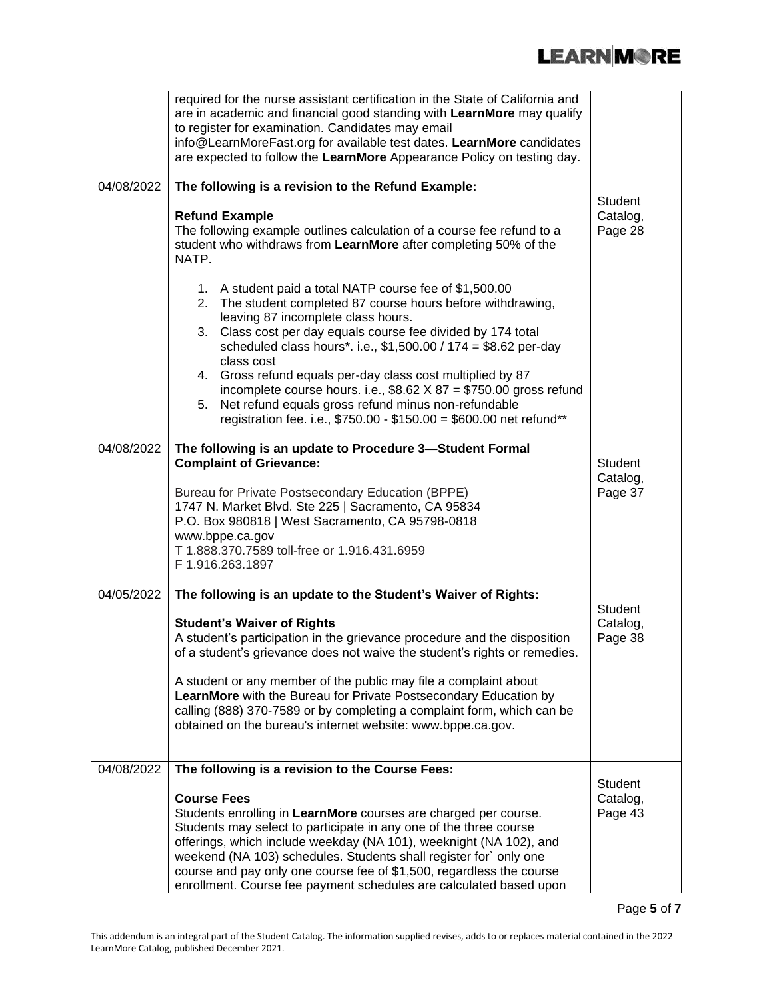|            | required for the nurse assistant certification in the State of California and<br>are in academic and financial good standing with LearnMore may qualify<br>to register for examination. Candidates may email<br>info@LearnMoreFast.org for available test dates. LearnMore candidates<br>are expected to follow the LearnMore Appearance Policy on testing day.                                                                                                                                                                              |                                       |
|------------|----------------------------------------------------------------------------------------------------------------------------------------------------------------------------------------------------------------------------------------------------------------------------------------------------------------------------------------------------------------------------------------------------------------------------------------------------------------------------------------------------------------------------------------------|---------------------------------------|
| 04/08/2022 | The following is a revision to the Refund Example:<br><b>Refund Example</b><br>The following example outlines calculation of a course fee refund to a<br>student who withdraws from LearnMore after completing 50% of the<br>NATP.<br>1. A student paid a total NATP course fee of \$1,500.00                                                                                                                                                                                                                                                | Student<br>Catalog,<br>Page 28        |
|            | 2. The student completed 87 course hours before withdrawing,<br>leaving 87 incomplete class hours.<br>3. Class cost per day equals course fee divided by 174 total<br>scheduled class hours*. i.e., \$1,500.00 / 174 = \$8.62 per-day<br>class cost<br>Gross refund equals per-day class cost multiplied by 87<br>4.<br>incomplete course hours. i.e., $$8.62 \times 87 = $750.00$ gross refund<br>Net refund equals gross refund minus non-refundable<br>5.<br>registration fee. i.e., \$750.00 - \$150.00 = \$600.00 net refund**          |                                       |
| 04/08/2022 | The following is an update to Procedure 3-Student Formal<br><b>Complaint of Grievance:</b><br>Bureau for Private Postsecondary Education (BPPE)<br>1747 N. Market Blvd. Ste 225   Sacramento, CA 95834<br>P.O. Box 980818   West Sacramento, CA 95798-0818<br>www.bppe.ca.gov<br>T 1.888.370.7589 toll-free or 1.916.431.6959<br>F 1.916.263.1897                                                                                                                                                                                            | Student<br>Catalog,<br>Page 37        |
| 04/05/2022 | The following is an update to the Student's Waiver of Rights:<br><b>Student's Waiver of Rights</b><br>A student's participation in the grievance procedure and the disposition<br>of a student's grievance does not waive the student's rights or remedies.<br>A student or any member of the public may file a complaint about<br>LearnMore with the Bureau for Private Postsecondary Education by<br>calling (888) 370-7589 or by completing a complaint form, which can be<br>obtained on the bureau's internet website: www.bppe.ca.gov. | <b>Student</b><br>Catalog,<br>Page 38 |
| 04/08/2022 | The following is a revision to the Course Fees:<br><b>Course Fees</b><br>Students enrolling in LearnMore courses are charged per course.<br>Students may select to participate in any one of the three course<br>offerings, which include weekday (NA 101), weeknight (NA 102), and<br>weekend (NA 103) schedules. Students shall register for` only one<br>course and pay only one course fee of \$1,500, regardless the course<br>enrollment. Course fee payment schedules are calculated based upon                                       | <b>Student</b><br>Catalog,<br>Page 43 |

Page **5** of **7**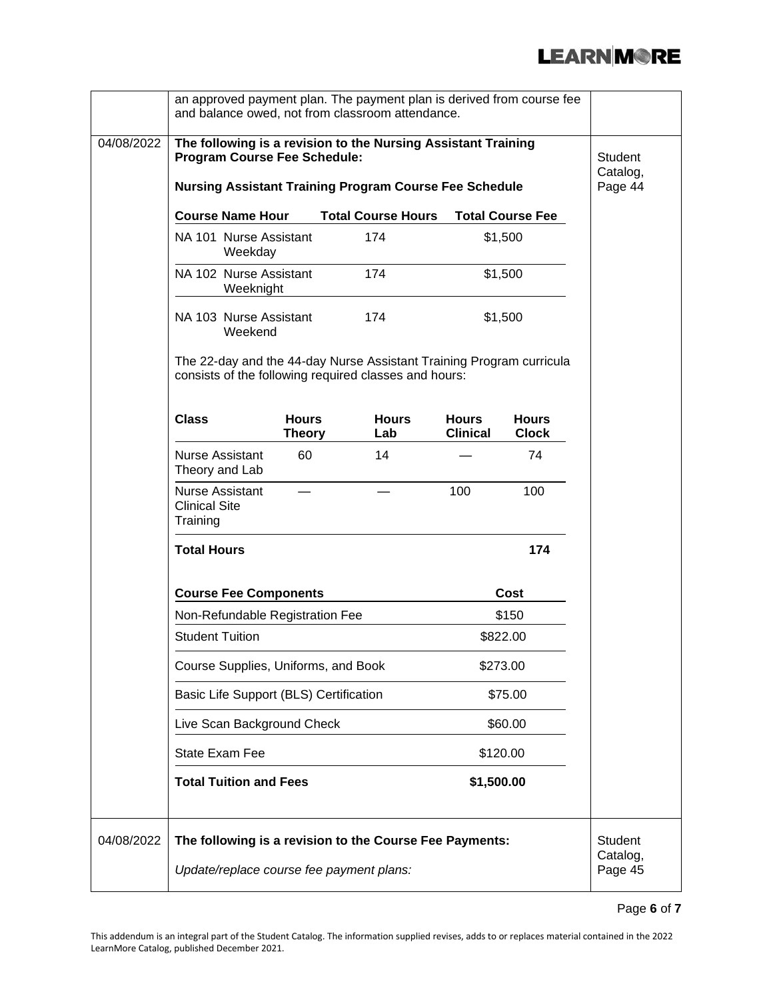|            | an approved payment plan. The payment plan is derived from course fee<br>and balance owed, not from classroom attendance.                                             |                                          |                                        |                                                                                                                               |                                 |                              |                                       |
|------------|-----------------------------------------------------------------------------------------------------------------------------------------------------------------------|------------------------------------------|----------------------------------------|-------------------------------------------------------------------------------------------------------------------------------|---------------------------------|------------------------------|---------------------------------------|
| 04/08/2022 | The following is a revision to the Nursing Assistant Training<br><b>Program Course Fee Schedule:</b><br><b>Nursing Assistant Training Program Course Fee Schedule</b> |                                          |                                        |                                                                                                                               |                                 |                              | <b>Student</b><br>Catalog,<br>Page 44 |
|            |                                                                                                                                                                       | <b>Course Name Hour</b>                  |                                        | <b>Total Course Hours</b>                                                                                                     |                                 | <b>Total Course Fee</b>      |                                       |
|            |                                                                                                                                                                       | NA 101 Nurse Assistant<br>Weekday        |                                        | 174                                                                                                                           |                                 | \$1,500                      |                                       |
|            |                                                                                                                                                                       | NA 102 Nurse Assistant<br>Weeknight      |                                        | 174                                                                                                                           |                                 | \$1,500                      |                                       |
|            |                                                                                                                                                                       | NA 103 Nurse Assistant<br>Weekend        |                                        | 174                                                                                                                           |                                 | \$1,500                      |                                       |
|            |                                                                                                                                                                       |                                          |                                        | The 22-day and the 44-day Nurse Assistant Training Program curricula<br>consists of the following required classes and hours: |                                 |                              |                                       |
|            | <b>Class</b>                                                                                                                                                          |                                          | <b>Hours</b><br><b>Theory</b>          | <b>Hours</b><br>Lab                                                                                                           | <b>Hours</b><br><b>Clinical</b> | <b>Hours</b><br><b>Clock</b> |                                       |
|            |                                                                                                                                                                       | <b>Nurse Assistant</b><br>Theory and Lab | 60                                     | 14                                                                                                                            |                                 | 74                           |                                       |
|            | <b>Clinical Site</b><br>Training                                                                                                                                      | <b>Nurse Assistant</b>                   |                                        |                                                                                                                               | 100                             | 100                          |                                       |
|            | <b>Total Hours</b>                                                                                                                                                    |                                          |                                        |                                                                                                                               |                                 | 174                          |                                       |
|            |                                                                                                                                                                       | <b>Course Fee Components</b>             |                                        |                                                                                                                               |                                 | Cost                         |                                       |
|            |                                                                                                                                                                       |                                          | Non-Refundable Registration Fee        |                                                                                                                               |                                 | \$150                        |                                       |
|            | <b>Student Tuition</b>                                                                                                                                                |                                          |                                        |                                                                                                                               |                                 | \$822.00                     |                                       |
|            |                                                                                                                                                                       |                                          | Course Supplies, Uniforms, and Book    |                                                                                                                               | \$273.00                        |                              |                                       |
|            |                                                                                                                                                                       |                                          | Basic Life Support (BLS) Certification |                                                                                                                               |                                 | \$75.00                      |                                       |
|            |                                                                                                                                                                       |                                          | Live Scan Background Check             |                                                                                                                               |                                 | \$60.00                      |                                       |
|            |                                                                                                                                                                       | State Exam Fee                           |                                        |                                                                                                                               |                                 | \$120.00                     |                                       |
|            |                                                                                                                                                                       | <b>Total Tuition and Fees</b>            |                                        |                                                                                                                               | \$1,500.00                      |                              |                                       |
| 04/08/2022 |                                                                                                                                                                       |                                          |                                        | The following is a revision to the Course Fee Payments:                                                                       |                                 |                              | Student<br>Catalog,                   |
|            | Update/replace course fee payment plans:                                                                                                                              |                                          |                                        |                                                                                                                               |                                 |                              | Page 45                               |

Page **6** of **7**